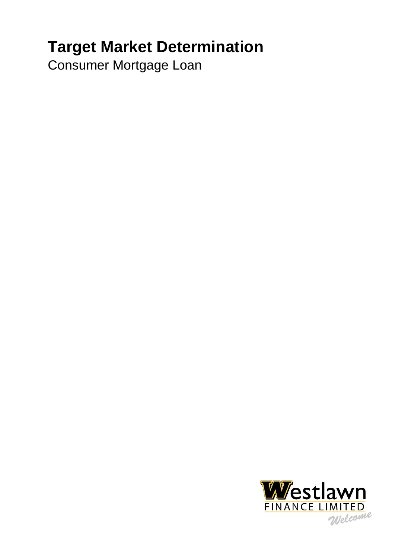# **Target Market Determination**

Consumer Mortgage Loan

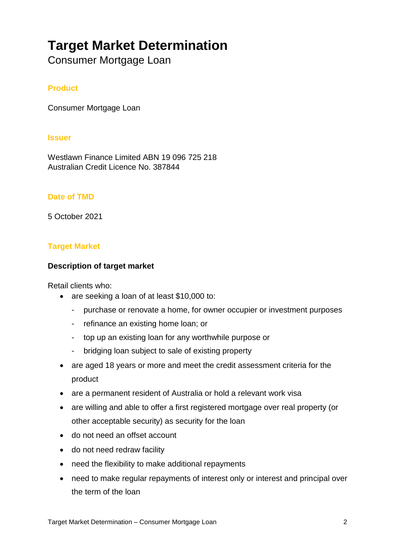# **Target Market Determination**

Consumer Mortgage Loan

# **Product**

Consumer Mortgage Loan

#### **Issuer**

Westlawn Finance Limited ABN 19 096 725 218 Australian Credit Licence No. 387844

## **Date of TMD**

5 October 2021

## **Target Market**

#### **Description of target market**

Retail clients who:

- are seeking a loan of at least \$10,000 to:
	- purchase or renovate a home, for owner occupier or investment purposes
	- refinance an existing home loan; or
	- top up an existing loan for any worthwhile purpose or
	- bridging loan subject to sale of existing property
- are aged 18 years or more and meet the credit assessment criteria for the product
- are a permanent resident of Australia or hold a relevant work visa
- are willing and able to offer a first registered mortgage over real property (or other acceptable security) as security for the loan
- do not need an offset account
- do not need redraw facility
- need the flexibility to make additional repayments
- need to make regular repayments of interest only or interest and principal over the term of the loan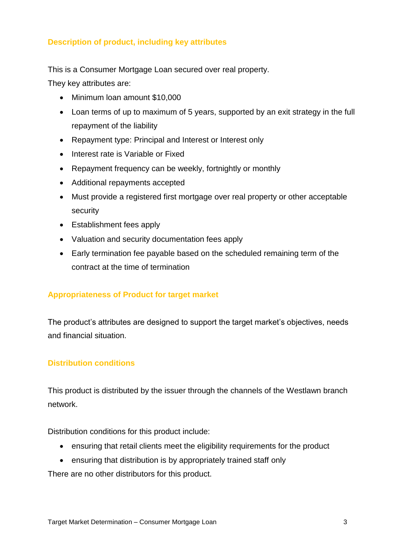# **Description of product, including key attributes**

This is a Consumer Mortgage Loan secured over real property.

They key attributes are:

- Minimum loan amount \$10,000
- Loan terms of up to maximum of 5 years, supported by an exit strategy in the full repayment of the liability
- Repayment type: Principal and Interest or Interest only
- Interest rate is Variable or Fixed
- Repayment frequency can be weekly, fortnightly or monthly
- Additional repayments accepted
- Must provide a registered first mortgage over real property or other acceptable security
- Establishment fees apply
- Valuation and security documentation fees apply
- Early termination fee payable based on the scheduled remaining term of the contract at the time of termination

# **Appropriateness of Product for target market**

The product's attributes are designed to support the target market's objectives, needs and financial situation.

#### **Distribution conditions**

This product is distributed by the issuer through the channels of the Westlawn branch network.

Distribution conditions for this product include:

- ensuring that retail clients meet the eligibility requirements for the product
- ensuring that distribution is by appropriately trained staff only

There are no other distributors for this product.